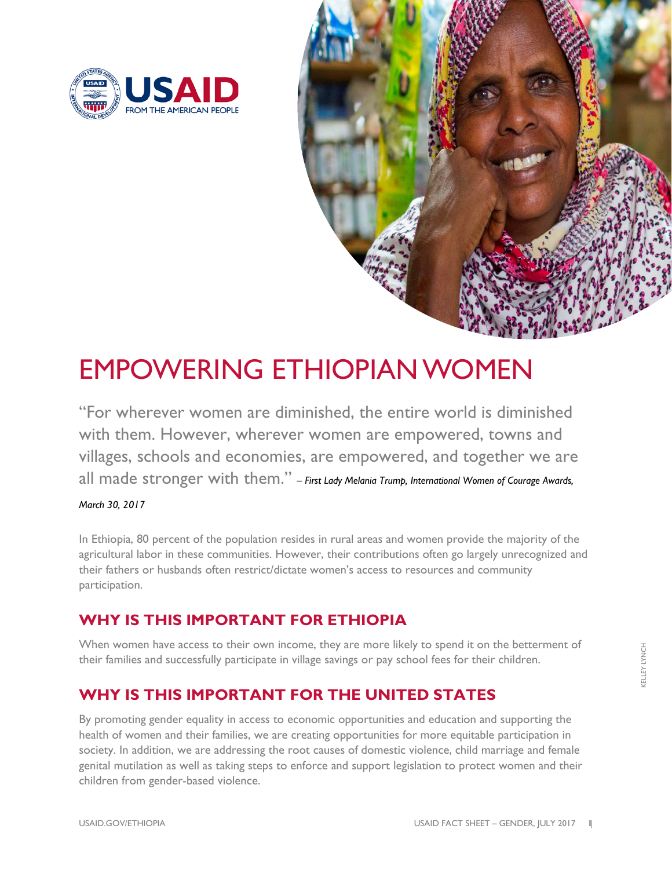



## EMPOWERING ETHIOPIAN WOMEN

"For wherever women are diminished, the entire world is diminished with them. However, wherever women are empowered, towns and villages, schools and economies, are empowered, and together we are all made stronger with them." *– First Lady Melania Trump, International Women of Courage Awards,* 

*March 30, 2017*

In Ethiopia, 80 percent of the population resides in rural areas and women provide the majority of the agricultural labor in these communities. However, their contributions often go largely unrecognized and their fathers or husbands often restrict/dictate women's access to resources and community participation.

## **WHY IS THIS IMPORTANT FOR ETHIOPIA**

When women have access to their own income, they are more likely to spend it on the betterment of their families and successfully participate in village savings or pay school fees for their children.

## **WHY IS THIS IMPORTANT FOR THE UNITED STATES**

By promoting gender equality in access to economic opportunities and education and supporting the health of women and their families, we are creating opportunities for more equitable participation in society. In addition, we are addressing the root causes of domestic violence, child marriage and female genital mutilation as well as taking steps to enforce and support legislation to protect women and their children from gender-based violence.